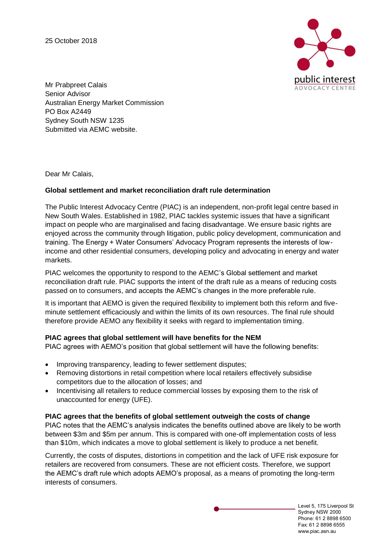25 October 2018



Mr Prabpreet Calais Senior Advisor Australian Energy Market Commission PO Box A2449 Sydney South NSW 1235 Submitted via AEMC website.

Dear Mr Calais,

# **Global settlement and market reconciliation draft rule determination**

The Public Interest Advocacy Centre (PIAC) is an independent, non-profit legal centre based in New South Wales. Established in 1982, PIAC tackles systemic issues that have a significant impact on people who are marginalised and facing disadvantage. We ensure basic rights are enjoyed across the community through litigation, public policy development, communication and training. The Energy + Water Consumers' Advocacy Program represents the interests of lowincome and other residential consumers, developing policy and advocating in energy and water markets.

PIAC welcomes the opportunity to respond to the AEMC's Global settlement and market reconciliation draft rule. PIAC supports the intent of the draft rule as a means of reducing costs passed on to consumers, and accepts the AEMC's changes in the more preferable rule.

It is important that AEMO is given the required flexibility to implement both this reform and fiveminute settlement efficaciously and within the limits of its own resources. The final rule should therefore provide AEMO any flexibility it seeks with regard to implementation timing.

### **PIAC agrees that global settlement will have benefits for the NEM**

PIAC agrees with AEMO's position that global settlement will have the following benefits:

- Improving transparency, leading to fewer settlement disputes;
- Removing distortions in retail competition where local retailers effectively subsidise competitors due to the allocation of losses; and
- Incentivising all retailers to reduce commercial losses by exposing them to the risk of unaccounted for energy (UFE).

# **PIAC agrees that the benefits of global settlement outweigh the costs of change**

PIAC notes that the AEMC's analysis indicates the benefits outlined above are likely to be worth between \$3m and \$5m per annum. This is compared with one-off implementation costs of less than \$10m, which indicates a move to global settlement is likely to produce a net benefit.

Currently, the costs of disputes, distortions in competition and the lack of UFE risk exposure for retailers are recovered from consumers. These are not efficient costs. Therefore, we support the AEMC's draft rule which adopts AEMO's proposal, as a means of promoting the long-term interests of consumers.

> Level 5, 175 Liverpool St Sydney NSW 2000 Phone: 61 2 8898 6500 Fax: 61 2 8898 6555 www.piac.asn.au